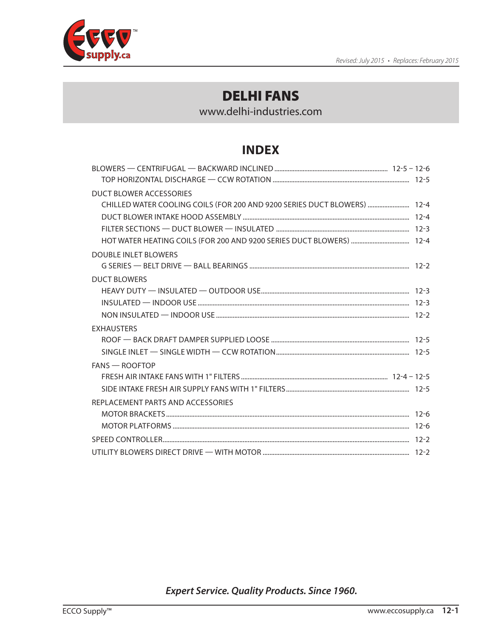

www.delhi-industries.com

# **INDEX**

| DUCT BLOWER ACCESSORIES                                                  |  |
|--------------------------------------------------------------------------|--|
| CHILLED WATER COOLING COILS (FOR 200 AND 9200 SERIES DUCT BLOWERS)  12-4 |  |
|                                                                          |  |
|                                                                          |  |
|                                                                          |  |
| <b>DOUBLE INLET BLOWERS</b>                                              |  |
|                                                                          |  |
| <b>DUCT BLOWERS</b>                                                      |  |
|                                                                          |  |
|                                                                          |  |
|                                                                          |  |
| <b>FXHAUSTERS</b>                                                        |  |
|                                                                          |  |
|                                                                          |  |
| $FANS - ROOFTOP$                                                         |  |
|                                                                          |  |
|                                                                          |  |
| REPLACEMENT PARTS AND ACCESSORIES                                        |  |
|                                                                          |  |
|                                                                          |  |
|                                                                          |  |
|                                                                          |  |

*Expert Service. Quality Products. Since 1960.*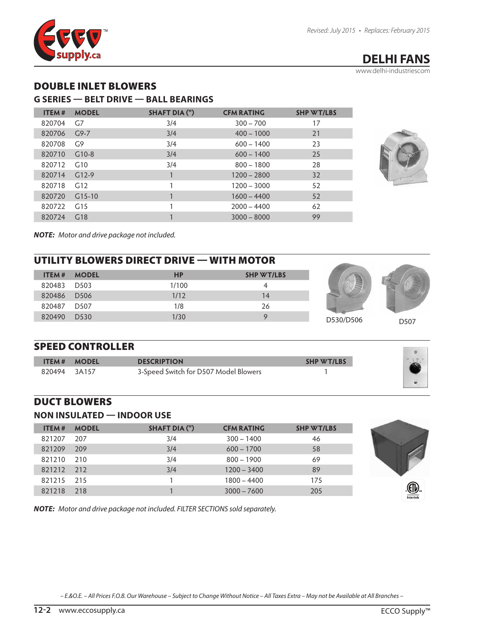<span id="page-1-0"></span>

www.delhi-industriescom

## DOUBLE INLET BLOWERS

#### **G SERIES — BELT DRIVE — BALL BEARINGS**

| <b>ITEM#</b> | <b>MODEL</b> | <b>SHAFT DIA (")</b> | <b>CFM RATING</b> | <b>SHP WT/LBS</b> |
|--------------|--------------|----------------------|-------------------|-------------------|
| 820704       | G7           | 3/4                  | $300 - 700$       | 17                |
| 820706       | $G9 - 7$     | 3/4                  | $400 - 1000$      | 21                |
| 820708       | G9           | 3/4                  | $600 - 1400$      | 23                |
| 820710       | $G10-8$      | 3/4                  | $600 - 1400$      | 25                |
| 820712       | G10          | 3/4                  | $800 - 1800$      | 28                |
| 820714       | $G12-9$      |                      | $1200 - 2800$     | 32                |
| 820718       | G12          |                      | $1200 - 3000$     | 52                |
| 820720       | $G15-10$     |                      | $1600 - 4400$     | 52                |
| 820722       | G15          |                      | $2000 - 4400$     | 62                |
| 820724       | G18          |                      | $3000 - 8000$     | 99                |



*NOTE: Motor and drive package not included.*

# UTILITY BLOWERS DIRECT DRIVE — WITH MOTOR

| <b>ITEM #</b> | <b>MODEL</b> | <b>HP</b> | <b>SHP WT/LBS</b> |
|---------------|--------------|-----------|-------------------|
| 820483 D503   |              | 1/100     | 4                 |
| 820486 D506   |              | 1/12      | 14                |
| 820487 D507   |              | 1/8       | 26                |
| 820490 D530   |              | 1/30      | O                 |



**Contract Contract** 

#### SPEED CONTROLLER

| <b>ITEM#</b> | <b>MODEL</b> | <b>DESCRIPTION</b>                    | <b>SHP WT/LBS</b> |  |
|--------------|--------------|---------------------------------------|-------------------|--|
| 820494       | 3A157        | 3-Speed Switch for D507 Model Blowers |                   |  |
|              |              |                                       |                   |  |

#### DUCT BLOWERS

#### **NON INSULATED — INDOOR USE**

| <b>ITEM#</b> | <b>MODEL</b> | SHAFT DIA (") | <b>CFM RATING</b> | <b>SHP WT/LBS</b> |
|--------------|--------------|---------------|-------------------|-------------------|
| 821207       | 207          | 3/4           | $300 - 1400$      | 46                |
| 821209       | 209          | 3/4           | $600 - 1700$      | 58                |
| 821210       | 210          | 3/4           | $800 - 1900$      | 69                |
| 821212 212   |              | 3/4           | $1200 - 3400$     | 89                |
| 821215 215   |              |               | $1800 - 4400$     | 175               |
| 821218       | 218          |               | $3000 - 7600$     | 205               |



*NOTE: Motor and drive package not included. FILTER SECTIONS sold separately.*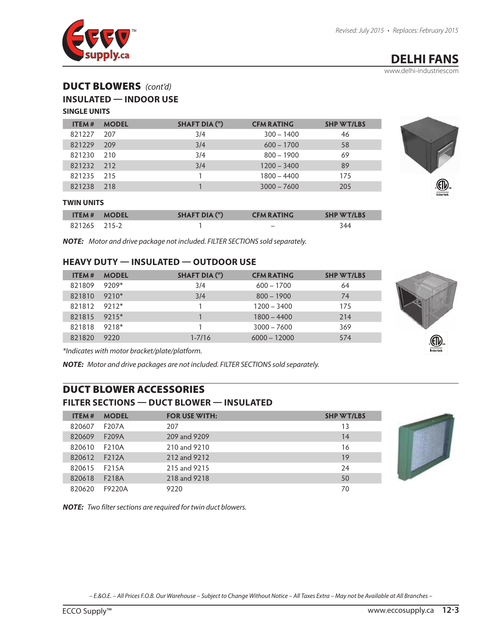<span id="page-2-0"></span>

www.delhi-industriescom

## DUCT BLOWERS *(cont'd)*

#### **INSULATED — INDOOR USE**

#### **SINGLE UNITS**

| <b>ITEM#</b> | <b>MODEL</b> | SHAFT DIA (") | <b>CFM RATING</b> | <b>SHP WT/LBS</b> |
|--------------|--------------|---------------|-------------------|-------------------|
| 821227       | 207          | 3/4           | $300 - 1400$      | 46                |
| 821229       | 209          | 3/4           | $600 - 1700$      | 58                |
| 821230       | 210          | 3/4           | $800 - 1900$      | 69                |
| 821232 212   |              | 3/4           | $1200 - 3400$     | 89                |
| 821235       | 215          |               | $1800 - 4400$     | 175               |
| 821238       | 218          |               | $3000 - 7600$     | 205               |



|              | <b>ITEM# MODEL</b> | SHAFT DIA (") | <b>CFM RATING</b>        | <b>SHP WT/LBS</b> |
|--------------|--------------------|---------------|--------------------------|-------------------|
| 821265 215-2 |                    |               | $\overline{\phantom{a}}$ | 344               |

*NOTE: Motor and drive package not included. FILTER SECTIONS sold separately.*

#### **HEAVY DUTY — INSULATED — OUTDOOR USE**

| <b>ITEM #</b> | <b>MODEL</b> | SHAFT DIA (") | <b>CFM RATING</b> | <b>SHP WT/LBS</b> |
|---------------|--------------|---------------|-------------------|-------------------|
| 821809        | 9209*        | 3/4           | $600 - 1700$      | 64                |
| 821810        | $9210*$      | 3/4           | $800 - 1900$      | 74                |
| 821812 9212*  |              |               | $1200 - 3400$     | 175               |
| 821815 9215*  |              |               | $1800 - 4400$     | 214               |
| 821818 9218*  |              |               | $3000 - 7600$     | 369               |
| 821820        | 9220         | $1 - 7/16$    | $6000 - 12000$    | 574               |



*\*Indicates with motor bracket/plate/platform.*

*NOTE: Motor and drive packages are not included. FILTER SECTIONS sold separately.*

## DUCT BLOWER ACCESSORIES

#### **FILTER SECTIONS — DUCT BLOWER — INSULATED**

| <b>MODEL</b><br><b>ITEM#</b> | <b>FOR USE WITH:</b> | <b>SHP WT/LBS</b> |
|------------------------------|----------------------|-------------------|
| 820607<br>F207A              | 207                  | 13                |
| 820609<br>F <sub>209</sub> A | 209 and 9209         | 14                |
| 820610<br>F210A              | 210 and 9210         | 16                |
| 820612<br>F212A              | 212 and 9212         | 19                |
| 820615<br>F215A              | 215 and 9215         | 24                |
| 820618<br>F218A              | 218 and 9218         | 50                |
| F9220A<br>820620             | 9220                 | 70                |
|                              |                      |                   |



*NOTE: Two filter sections are required for twin duct blowers.*

*– E.&O.E. – All Prices F.O.B. Our Warehouse – Subject to Change Without Notice – All Taxes Extra – May not be Available at All Branches –*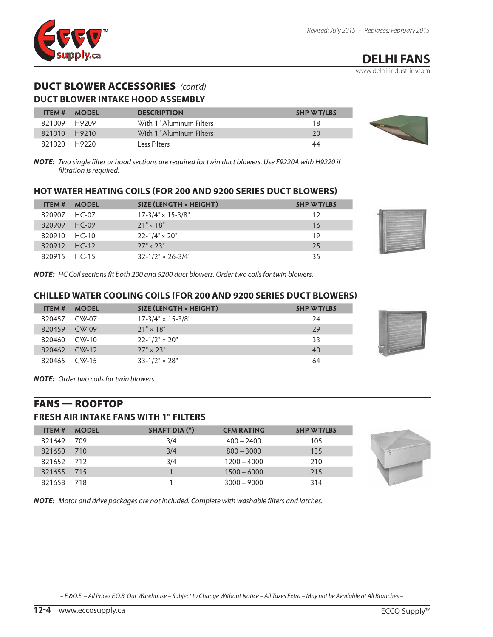<span id="page-3-0"></span>

www.delhi-industriescom

## DUCT BLOWER ACCESSORIES *(cont'd)*

#### **DUCT BLOWER INTAKE HOOD ASSEMBLY**

| <b>ITEM#</b> | <b>MODEL</b> | <b>DESCRIPTION</b>       | <b>SHP WT/LBS</b> |
|--------------|--------------|--------------------------|-------------------|
| 821009 H9209 |              | With 1" Aluminum Filters | 18                |
| 821010 H9210 |              | With 1" Aluminum Filters | 20                |
| 821020 H9220 |              | Less Filters             | 44                |

*NOTE: Two single filter or hood sections are required for twin duct blowers. Use F9220A with H9220 if filtration is required.*

#### **HOT WATER HEATING COILS (FOR 200 AND 9200 SERIES DUCT BLOWERS)**

| <b>ITEM #</b> | <b>MODEL</b> | SIZE (LENGTH × HEIGHT)       | <b>SHP WT/LBS</b> |
|---------------|--------------|------------------------------|-------------------|
| 820907 HC-07  |              | $17-3/4" \times 15-3/8"$     | 12                |
| 820909 HC-09  |              | $21" \times 18"$             | 16                |
| 820910 HC-10  |              | $22 - 1/4" \times 20"$       | 19                |
| 820912 HC-12  |              | $27'' \times 23''$           | 25                |
| 820915 HC-15  |              | $32 - 1/2" \times 26 - 3/4"$ | 35                |

*NOTE: HC Coil sections fit both 200 and 9200 duct blowers. Order two coils for twin blowers.*

#### **CHILLED WATER COOLING COILS (FOR 200 AND 9200 SERIES DUCT BLOWERS)**

| <b>ITEM#</b> | <b>MODEL</b>            | SIZE (LENGTH × HEIGHT)   | <b>SHP WT/LBS</b> |
|--------------|-------------------------|--------------------------|-------------------|
| 820457       | CW-07                   | $17-3/4" \times 15-3/8"$ | 24                |
| 820459       | $CW-09$                 | $21" \times 18"$         | 29                |
| 820460       | $\mathsf{CW}\text{-}10$ | $22 - 1/2" \times 20"$   | 33                |
| 820462       | $CW-12$                 | $27'' \times 23''$       | 40                |
| 820465       | $CW-15$                 | $33 - 1/2" \times 28"$   |                   |



*NOTE: Order two coils for twin blowers.*

#### FANS — ROOFTOP

#### **FRESH AIR INTAKE FANS WITH 1" FILTERS**

| ITEM#      | <b>MODEL</b> | SHAFT DIA (") | <b>CFM RATING</b> | <b>SHP WT/LBS</b> |
|------------|--------------|---------------|-------------------|-------------------|
| 821649 709 |              | 3/4           | $400 - 2400$      | 105               |
| 821650 710 |              | 3/4           | $800 - 3000$      | 135               |
| 821652 712 |              | 3/4           | $1200 - 4000$     | 210               |
| 821655 715 |              |               | $1500 - 6000$     | 215               |
| 821658 718 |              |               | $3000 - 9000$     | 314               |



*NOTE: Motor and drive packages are not included. Complete with washable filters and latches.*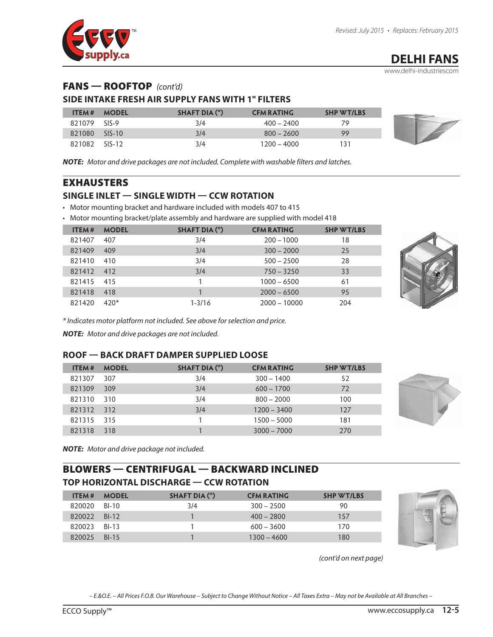<span id="page-4-0"></span>

www.delhi-industriescom

## FANS — ROOFTOP *(cont'd)*

#### **SIDE INTAKE FRESH AIR SUPPLY FANS WITH 1" FILTERS**

| <b>ITEM#</b> | <b>MODEL</b> | SHAFT DIA (") | <b>CFM RATING</b> | <b>SHP WT/LBS</b> |
|--------------|--------------|---------------|-------------------|-------------------|
| 821079       | $SIS-9$      | 3/4           | $400 - 2400$      |                   |
| 821080       | $SIS-10$     | 3/4           | $800 - 2600$      | 99                |
| 821082       | $SIS-12$     | 3/4           | 1200 – 4000       |                   |

*NOTE: Motor and drive packages are not included. Complete with washable filters and latches.*

#### EXHAUSTERS

#### **SINGLE INLET — SINGLE WIDTH — CCW ROTATION**

• Motor mounting bracket and hardware included with models 407 to 415

• Motor mounting bracket/plate assembly and hardware are supplied with model 418

| ITEM#  | <b>MODEL</b> | SHAFT DIA (") | <b>CFM RATING</b> | <b>SHP WT/LBS</b> |
|--------|--------------|---------------|-------------------|-------------------|
| 821407 | 407          | 3/4           | $200 - 1000$      | 18                |
| 821409 | 409          | 3/4           | $300 - 2000$      | 25                |
| 821410 | 410          | 3/4           | $500 - 2500$      | 28                |
| 821412 | 412          | 3/4           | $750 - 3250$      | 33                |
| 821415 | 415          |               | $1000 - 6500$     | 61                |
| 821418 | 418          |               | $2000 - 6500$     | 95                |
| 821420 | $420*$       | $1 - 3/16$    | $2000 - 10000$    | 204               |



*\* Indicates motor platform not included. See above for selection and price.* 

*NOTE: Motor and drive packages are not included.*

#### **ROOF — BACK DRAFT DAMPER SUPPLIED LOOSE**

| <b>ITEM#</b> | <b>MODEL</b> | SHAFT DIA (") | <b>CFM RATING</b> | <b>SHP WT/LBS</b> |
|--------------|--------------|---------------|-------------------|-------------------|
| 821307       | 307          | 3/4           | $300 - 1400$      | 52                |
| 821309       | 309          | 3/4           | $600 - 1700$      | 72                |
| 821310       | 310          | 3/4           | $800 - 2000$      | 100               |
| 821312       | 312          | 3/4           | $1200 - 3400$     | 127               |
| 821315       | 315          |               | $1500 - 5000$     | 181               |
| 821318       | 318          |               | $3000 - 7000$     | 270               |



*NOTE: Motor and drive package not included.*

## BLOWERS — CENTRIFUGAL — BACKWARD INCLINED **TOP HORIZONTAL DISCHARGE — CCW ROTATION**

| <b>ITEM #</b> | <b>MODEL</b> | SHAFT DIA (") | <b>CFM RATING</b> | <b>SHP WT/LBS</b> |
|---------------|--------------|---------------|-------------------|-------------------|
| 820020        | BI-10        | 3/4           | $300 - 2500$      | 90                |
| 820022        | $BI-12$      |               | $400 - 2800$      | 157               |
| 820023        | BI-13        |               | $600 - 3600$      | 170               |
| 820025        | $BI-15$      |               | $1300 - 4600$     | 180               |



*(cont'd on next page)*

*– E.&O.E. – All Prices F.O.B. Our Warehouse – Subject to Change Without Notice – All Taxes Extra – May not be Available at All Branches –*